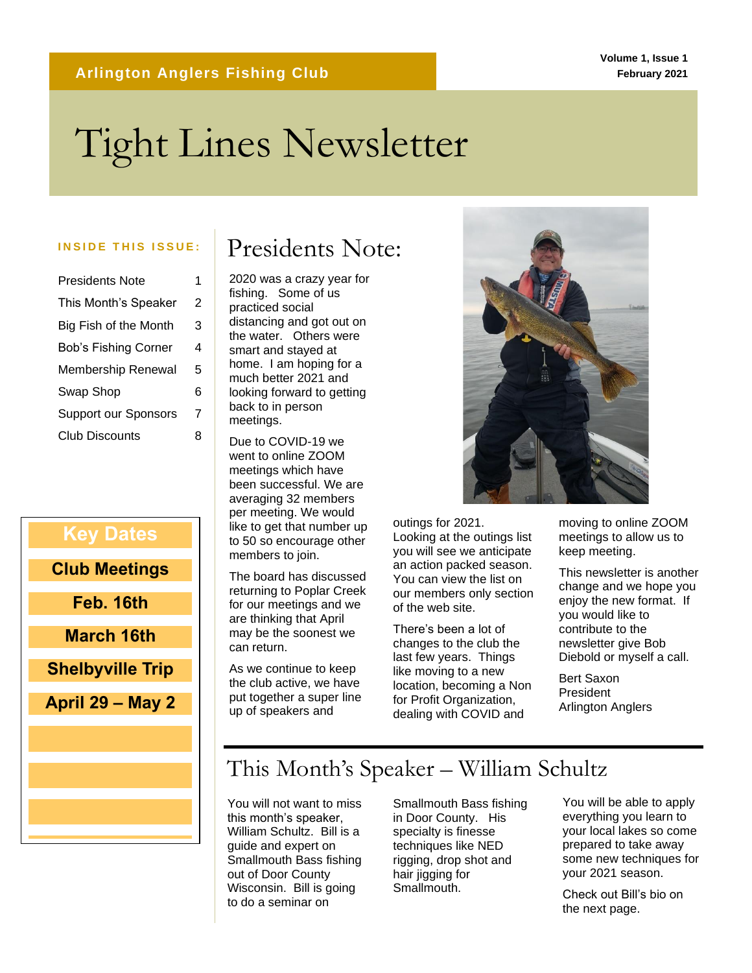# Tight Lines Newsletter

| Presidents Note             |   |
|-----------------------------|---|
| This Month's Speaker        | 2 |
| Big Fish of the Month       | 3 |
| <b>Bob's Fishing Corner</b> | 4 |
| Membership Renewal          | 5 |
| Swap Shop                   | 6 |
| <b>Support our Sponsors</b> | 7 |
| <b>Club Discounts</b>       | 8 |

#### **Key Dates**

**Club Meetings**

**Feb. 16th**

**March 16th**

**Shelbyville Trip**

**April 29 – May 2**

## INSIDE THIS ISSUE: **Presidents Note:**

2020 was a crazy year for fishing. Some of us practiced social distancing and got out on the water. Others were smart and stayed at home. I am hoping for a much better 2021 and looking forward to getting back to in person meetings.

Due to COVID-19 we went to online ZOOM meetings which have been successful. We are averaging 32 members per meeting. We would like to get that number up to 50 so encourage other members to join.

The board has discussed returning to Poplar Creek for our meetings and we are thinking that April may be the soonest we can return.

As we continue to keep the club active, we have put together a super line up of speakers and



outings for 2021. Looking at the outings list you will see we anticipate an action packed season. You can view the list on our members only section of the web site.

There's been a lot of changes to the club the last few years. Things like moving to a new location, becoming a Non for Profit Organization, dealing with COVID and

moving to online ZOOM meetings to allow us to keep meeting.

This newsletter is another change and we hope you enjoy the new format. If you would like to contribute to the newsletter give Bob Diebold or myself a call.

Bert Saxon President Arlington Anglers

## This Month's Speaker – William Schultz

You will not want to miss this month's speaker, William Schultz. Bill is a guide and expert on Smallmouth Bass fishing out of Door County Wisconsin. Bill is going to do a seminar on

Smallmouth Bass fishing in Door County. His specialty is finesse techniques like NED rigging, drop shot and hair jigging for Smallmouth.

You will be able to apply everything you learn to your local lakes so come prepared to take away some new techniques for your 2021 season.

Check out Bill's bio on the next page.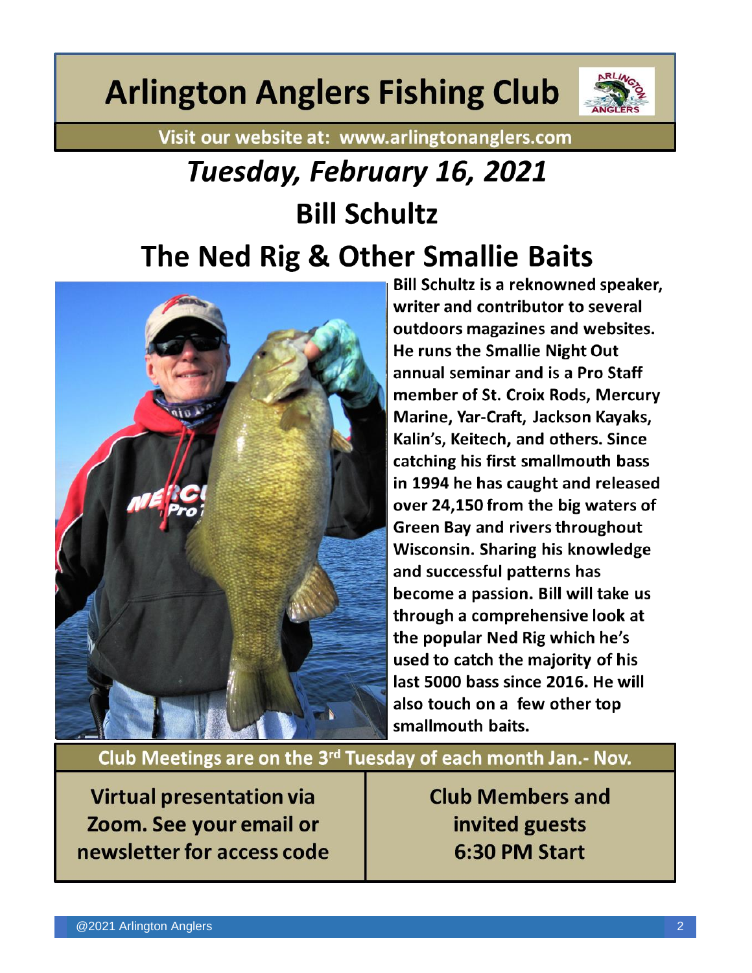# **Arlington Anglers Fishing Club**



Visit our website at: www.arlingtonanglers.com

# Tuesday, February 16, 2021 **Bill Schultz** The Ned Rig & Other Smallie Baits



**Bill Schultz is a reknowned speaker,** writer and contributor to several outdoors magazines and websites. He runs the Smallie Night Out annual seminar and is a Pro Staff member of St. Croix Rods, Mercury Marine, Yar-Craft, Jackson Kayaks, Kalin's, Keitech, and others. Since catching his first smallmouth bass in 1994 he has caught and released over 24,150 from the big waters of **Green Bay and rivers throughout Wisconsin. Sharing his knowledge** and successful patterns has become a passion. Bill will take us through a comprehensive look at the popular Ned Rig which he's used to catch the majority of his last 5000 bass since 2016. He will also touch on a few other top smallmouth baits.

Club Meetings are on the 3<sup>rd</sup> Tuesday of each month Jan.- Nov.

**Virtual presentation via** Zoom. See your email or newsletter for access code **Club Members and** invited guests 6:30 PM Start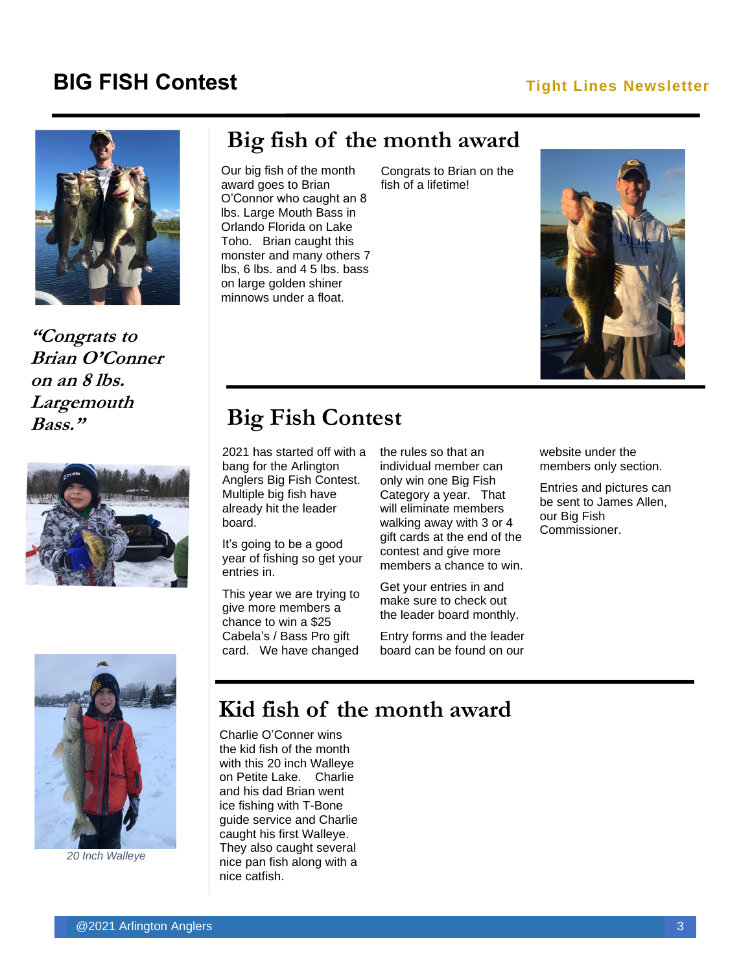### **BIG FISH Contest Tight Lines Newsletter**



**"Congrats to Brian O'Conner on an 8 lbs. Largemouth Bass."**



### **Big fish of the month award**

Our big fish of the month award goes to Brian O'Connor who caught an 8 lbs. Large Mouth Bass in Orlando Florida on Lake Toho. Brian caught this monster and many others 7 lbs, 6 lbs. and 4 5 lbs. bass on large golden shiner minnows under a float.

Congrats to Brian on the fish of a lifetime!



## **Big Fish Contest**

2021 has started off with a bang for the Arlington Anglers Big Fish Contest. Multiple big fish have already hit the leader board.

It's going to be a good year of fishing so get your entries in.

This year we are trying to give more members a chance to win a \$25 Cabela's / Bass Pro gift card. We have changed

the rules so that an individual member can only win one Big Fish Category a year. That will eliminate members walking away with 3 or 4 gift cards at the end of the contest and give more members a chance to win.

Get your entries in and make sure to check out the leader board monthly.

Entry forms and the leader board can be found on our website under the members only section.

Entries and pictures can be sent to James Allen, our Big Fish Commissioner.



*20 Inch Walleye*

## **Kid fish of the month award**

Charlie O'Conner wins the kid fish of the month with this 20 inch Walleye on Petite Lake. Charlie and his dad Brian went ice fishing with T-Bone guide service and Charlie caught his first Walleye. They also caught several nice pan fish along with a nice catfish.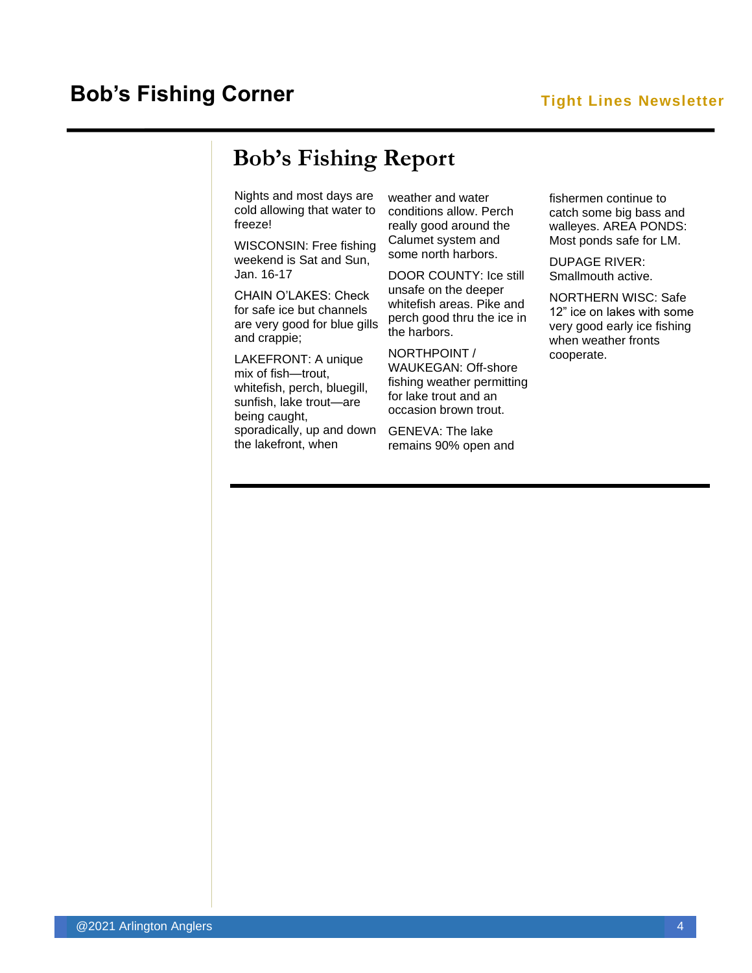## **Bob's Fishing Report**

Nights and most days are cold allowing that water to freeze!

WISCONSIN: Free fishing weekend is Sat and Sun, Jan. 16-17

CHAIN O'LAKES: Check for safe ice but channels are very good for blue gills and crappie;

LAKEFRONT: A unique mix of fish—trout, whitefish, perch, bluegill, sunfish, lake trout—are being caught, sporadically, up and down the lakefront, when

weather and water conditions allow. Perch really good around the Calumet system and some north harbors.

DOOR COUNTY: Ice still unsafe on the deeper whitefish areas. Pike and perch good thru the ice in the harbors.

NORTHPOINT / WAUKEGAN: Off-shore fishing weather permitting for lake trout and an occasion brown trout.

GENEVA: The lake remains 90% open and

fishermen continue to catch some big bass and walleyes. AREA PONDS: Most ponds safe for LM.

DUPAGE RIVER: Smallmouth active.

NORTHERN WISC: Safe 12" ice on lakes with some very good early ice fishing when weather fronts cooperate.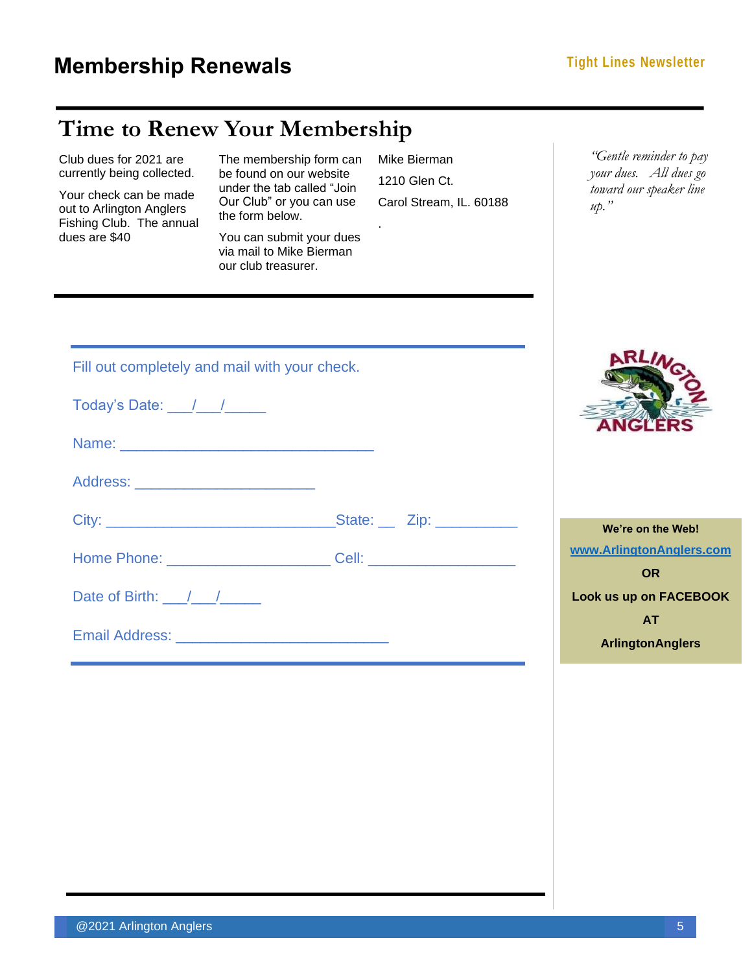I.

## **Time to Renew Your Membership**

| Club dues for 2021 are<br>currently being collected.<br>Your check can be made<br>out to Arlington Anglers<br>Fishing Club. The annual<br>dues are \$40 | The membership form can<br>be found on our website<br>under the tab called "Join<br>Our Club" or you can use<br>the form below.<br>You can submit your dues<br>via mail to Mike Bierman<br>our club treasurer. | Mike Bierman<br>1210 Glen Ct.<br>Carol Stream, IL. 60188 | "Gentle reminder to pay<br>your dues. All dues go<br>toward our speaker line<br>$up.$ "                                      |
|---------------------------------------------------------------------------------------------------------------------------------------------------------|----------------------------------------------------------------------------------------------------------------------------------------------------------------------------------------------------------------|----------------------------------------------------------|------------------------------------------------------------------------------------------------------------------------------|
| Today's Date: $\frac{1}{\sqrt{1-\frac{1}{2}}}\$                                                                                                         | Fill out completely and mail with your check.                                                                                                                                                                  |                                                          |                                                                                                                              |
| Date of Birth: $\frac{1}{\sqrt{1-\frac{1}{2}}}$                                                                                                         |                                                                                                                                                                                                                |                                                          | We're on the Web!<br>www.ArlingtonAnglers.com<br><b>OR</b><br>Look us up on FACEBOOK<br><b>AT</b><br><b>ArlingtonAnglers</b> |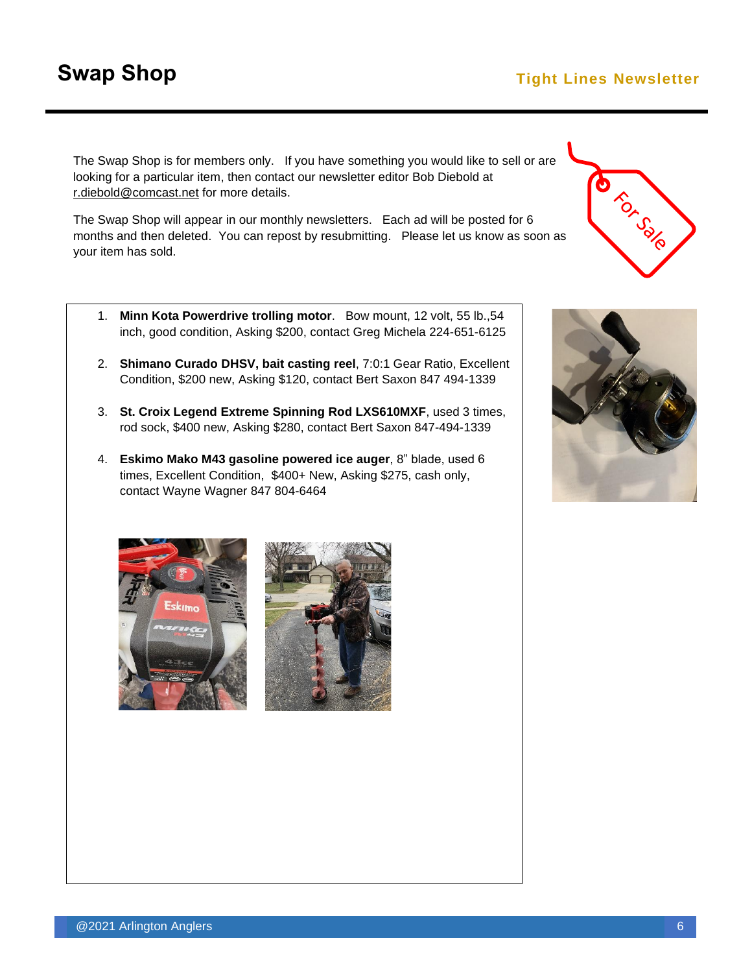### **Swap Shop Tight Lines Newsletter**

The Swap Shop is for members only. If you have something you would like to sell or are looking for a particular item, then contact our newsletter editor Bob Diebold at [r.diebold@comcast.net](mailto:r.diebold@comcast.net) for more details.

The Swap Shop will appear in our monthly newsletters. Each ad will be posted for 6 months and then deleted. You can repost by resubmitting. Please let us know as soon as your item has sold.

- 1. **Minn Kota Powerdrive trolling motor**. Bow mount, 12 volt, 55 lb.,54 inch, good condition, Asking \$200, contact Greg Michela 224-651-6125
- 2. **Shimano Curado DHSV, bait casting reel**, 7:0:1 Gear Ratio, Excellent Condition, \$200 new, Asking \$120, contact Bert Saxon 847 494-1339
- 3. **St. Croix Legend Extreme Spinning Rod LXS610MXF**, used 3 times, rod sock, \$400 new, Asking \$280, contact Bert Saxon 847-494-1339
- 4. **Eskimo Mako M43 gasoline powered ice auger**, 8" blade, used 6 times, Excellent Condition, \$400+ New, Asking \$275, cash only, contact Wayne Wagner 847 804-6464







CIUDIC SOLO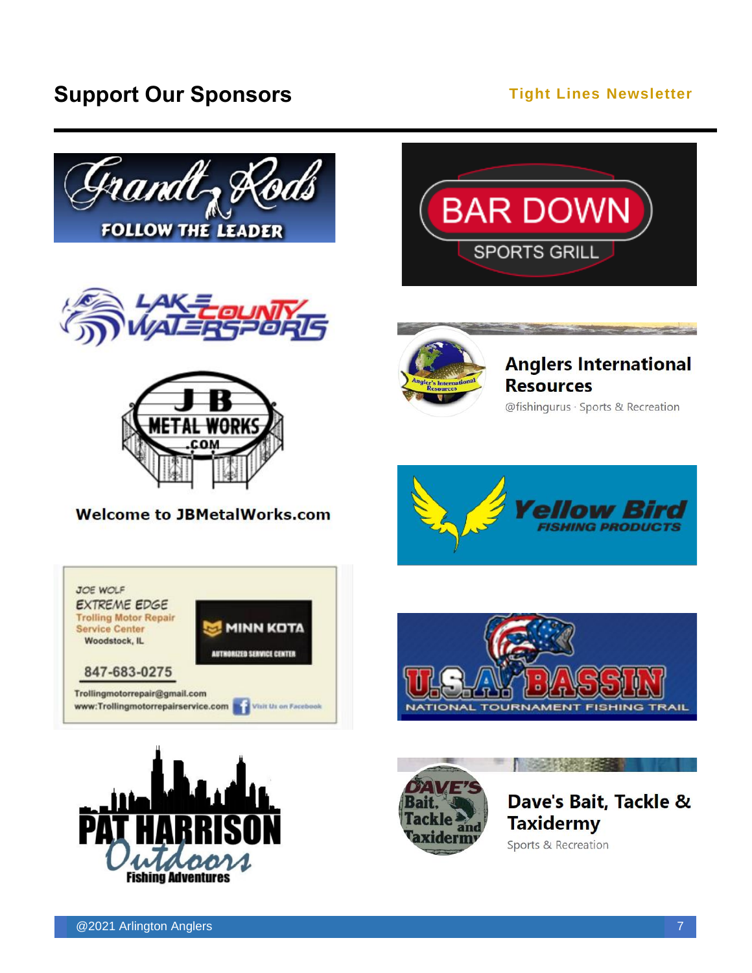## **Support Our Sponsors Constant Constant Constant Constant Constant Constant Constant Constant Constant Constant Constant Constant Constant Constant Constant Constant Constant Constant Constant Constant Constant Constant**







#### **Welcome to JBMetalWorks.com**





## **Anglers International Resources**

@fishingurus · Sports & Recreation